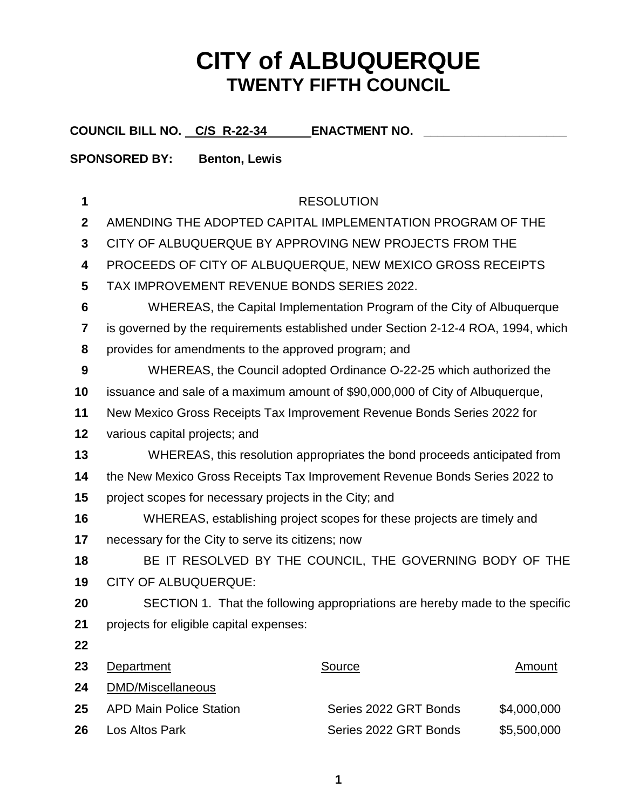## **CITY of ALBUQUERQUE TWENTY FIFTH COUNCIL**

**COUNCIL BILL NO. C/S R-22-34 ENACTMENT NO. \_\_\_\_\_\_\_\_\_\_\_\_\_\_\_\_\_\_\_\_\_**

## **SPONSORED BY: Benton, Lewis**

| 1               |                                                                                   | <b>RESOLUTION</b>                                                      |               |  |
|-----------------|-----------------------------------------------------------------------------------|------------------------------------------------------------------------|---------------|--|
| $\mathbf{2}$    | AMENDING THE ADOPTED CAPITAL IMPLEMENTATION PROGRAM OF THE                        |                                                                        |               |  |
| $\mathbf{3}$    | CITY OF ALBUQUERQUE BY APPROVING NEW PROJECTS FROM THE                            |                                                                        |               |  |
| 4               | PROCEEDS OF CITY OF ALBUQUERQUE, NEW MEXICO GROSS RECEIPTS                        |                                                                        |               |  |
| $5\phantom{.0}$ | TAX IMPROVEMENT REVENUE BONDS SERIES 2022.                                        |                                                                        |               |  |
| 6               |                                                                                   | WHEREAS, the Capital Implementation Program of the City of Albuquerque |               |  |
| 7               | is governed by the requirements established under Section 2-12-4 ROA, 1994, which |                                                                        |               |  |
| 8               | provides for amendments to the approved program; and                              |                                                                        |               |  |
| 9               |                                                                                   | WHEREAS, the Council adopted Ordinance O-22-25 which authorized the    |               |  |
| 10              | issuance and sale of a maximum amount of \$90,000,000 of City of Albuquerque,     |                                                                        |               |  |
| 11              | New Mexico Gross Receipts Tax Improvement Revenue Bonds Series 2022 for           |                                                                        |               |  |
| 12              | various capital projects; and                                                     |                                                                        |               |  |
| 13              | WHEREAS, this resolution appropriates the bond proceeds anticipated from          |                                                                        |               |  |
| 14              | the New Mexico Gross Receipts Tax Improvement Revenue Bonds Series 2022 to        |                                                                        |               |  |
| 15              | project scopes for necessary projects in the City; and                            |                                                                        |               |  |
| 16              | WHEREAS, establishing project scopes for these projects are timely and            |                                                                        |               |  |
| 17              | necessary for the City to serve its citizens; now                                 |                                                                        |               |  |
| 18              |                                                                                   | BE IT RESOLVED BY THE COUNCIL, THE GOVERNING BODY OF THE               |               |  |
| 19              | <b>CITY OF ALBUQUERQUE:</b>                                                       |                                                                        |               |  |
| 20              | SECTION 1. That the following appropriations are hereby made to the specific      |                                                                        |               |  |
| 21              | projects for eligible capital expenses:                                           |                                                                        |               |  |
| 22              |                                                                                   |                                                                        |               |  |
| 23              | Department                                                                        | <b>Source</b>                                                          | <u>Amount</u> |  |
| 24              | <b>DMD/Miscellaneous</b>                                                          |                                                                        |               |  |
| 25              | <b>APD Main Police Station</b>                                                    | Series 2022 GRT Bonds                                                  | \$4,000,000   |  |
| 26              | Los Altos Park                                                                    | Series 2022 GRT Bonds                                                  | \$5,500,000   |  |